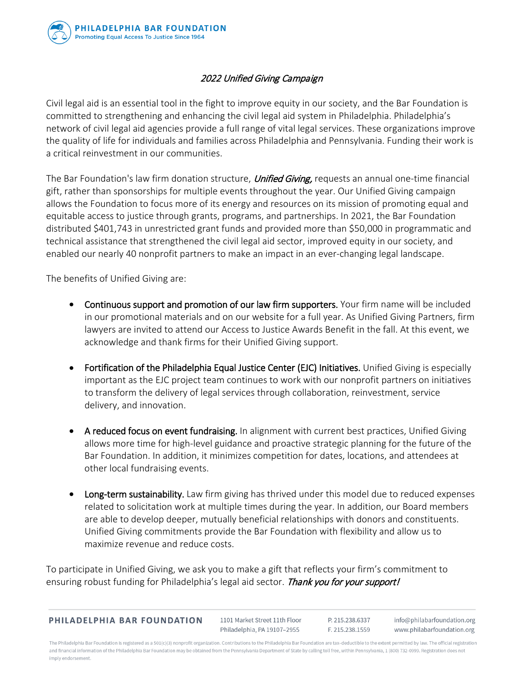

## 2022 Unified Giving Campaign

Civil legal aid is an essential tool in the fight to improve equity in our society, and the Bar Foundation is committed to strengthening and enhancing the civil legal aid system in Philadelphia. Philadelphia's network of civil legal aid agencies provide a full range of vital legal services. These organizations improve the quality of life for individuals and families across Philadelphia and Pennsylvania. Funding their work is a critical reinvestment in our communities.

The Bar Foundation's law firm donation structure, *Unified Giving*, requests an annual one-time financial gift, rather than sponsorships for multiple events throughout the year. Our Unified Giving campaign allows the Foundation to focus more of its energy and resources on its mission of promoting equal and equitable access to justice through grants, programs, and partnerships. In 2021, the Bar Foundation distributed \$401,743 in unrestricted grant funds and provided more than \$50,000 in programmatic and technical assistance that strengthened the civil legal aid sector, improved equity in our society, and enabled our nearly 40 nonprofit partners to make an impact in an ever-changing legal landscape.

The benefits of Unified Giving are:

- Continuous support and promotion of our law firm supporters. Your firm name will be included in our promotional materials and on our website for a full year. As Unified Giving Partners, firm lawyers are invited to attend our Access to Justice Awards Benefit in the fall. At this event, we acknowledge and thank firms for their Unified Giving support.
- Fortification of the Philadelphia Equal Justice Center (EJC) Initiatives. Unified Giving is especially important as the EJC project team continues to work with our nonprofit partners on initiatives to transform the delivery of legal services through collaboration, reinvestment, service delivery, and innovation.
- A reduced focus on event fundraising. In alignment with current best practices, Unified Giving allows more time for high-level guidance and proactive strategic planning for the future of the Bar Foundation. In addition, it minimizes competition for dates, locations, and attendees at other local fundraising events.
- Long-term sustainability. Law firm giving has thrived under this model due to reduced expenses related to solicitation work at multiple times during the year. In addition, our Board members are able to develop deeper, mutually beneficial relationships with donors and constituents. Unified Giving commitments provide the Bar Foundation with flexibility and allow us to maximize revenue and reduce costs.

To participate in Unified Giving, we ask you to make a gift that reflects your firm's commitment to ensuring robust funding for Philadelphia's legal aid sector. Thank you for your support!

| <b>PHILADELPHIA BAR FOUNDATION</b> |  |  |
|------------------------------------|--|--|
|                                    |  |  |

1101 Market Street 11th Floor Philadelphia, PA 19107-2955

P. 215.238.6337 F. 215.238.1559

info@philabarfoundation.org www.philabarfoundation.org

The Philadelphia Bar Foundation is registered as a 501(c)(3) nonprofit organization. Contributions to the Philadelphia Bar Foundation are tax-deductible to the extent permitted by law. The official registration and financial information of the Philadelphia Bar Foundation may be obtained from the Pennsylvania Department of State by calling toll free, within Pennsylvania, 1 (800) 732-0999. Registration does not imply endorsement.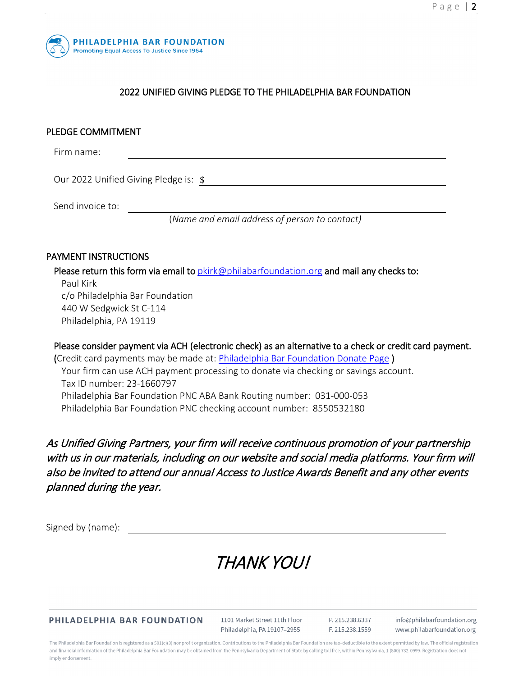

## 2022 UNIFIED GIVING PLEDGE TO THE PHILADELPHIA BAR FOUNDATION

### PLEDGE COMMITMENT

Firm name:

Our 2022 Unified Giving Pledge is:  $\frac{2022}{200}$ 

Send invoice to:

(*Name and email address of person to contact)*

#### PAYMENT INSTRUCTIONS

Please return this form via email to  $pkirk@philabar formulation.org$  and mail any checks to: Paul Kirk c/o Philadelphia Bar Foundation 440 W Sedgwick St C-114 Philadelphia, PA 19119

Please consider payment via ACH (electronic check) as an alternative to a check or credit card payment. (Credit card payments may be made at: *Philadelphia Bar Foundation Donate Page*) Your firm can use ACH payment processing to donate via checking or savings account. Tax ID number: 23-1660797 Philadelphia Bar Foundation PNC ABA Bank Routing number: 031-000-053 Philadelphia Bar Foundation PNC checking account number: 8550532180

As Unified Giving Partners, your firm will receive continuous promotion of your partnership with us in our materials, including on our website and social media platforms. Your firm will also be invited to attend our annual Access to Justice Awards Benefit and any other events planned during the year.

Signed by (name):

# THANK YOU!

PHILADELPHIA BAR FOUNDATION

1101 Market Street 11th Floor Philadelphia, PA 19107-2955 P. 215.238.6337 E. 215.238.1559

info@philabarfoundation.org www.philabarfoundation.org

The Philadelphia Bar Foundation is registered as a 501(c)(3) nonprofit organization. Contributions to the Philadelphia Bar Foundation are tax-deductible to the extent permitted by law. The official registration and financial information of the Philadelphia Bar Foundation may be obtained from the Pennsylvania Department of State by calling toll free, within Pennsylvania, 1 (800) 732-0999. Registration does not imply endorsement.